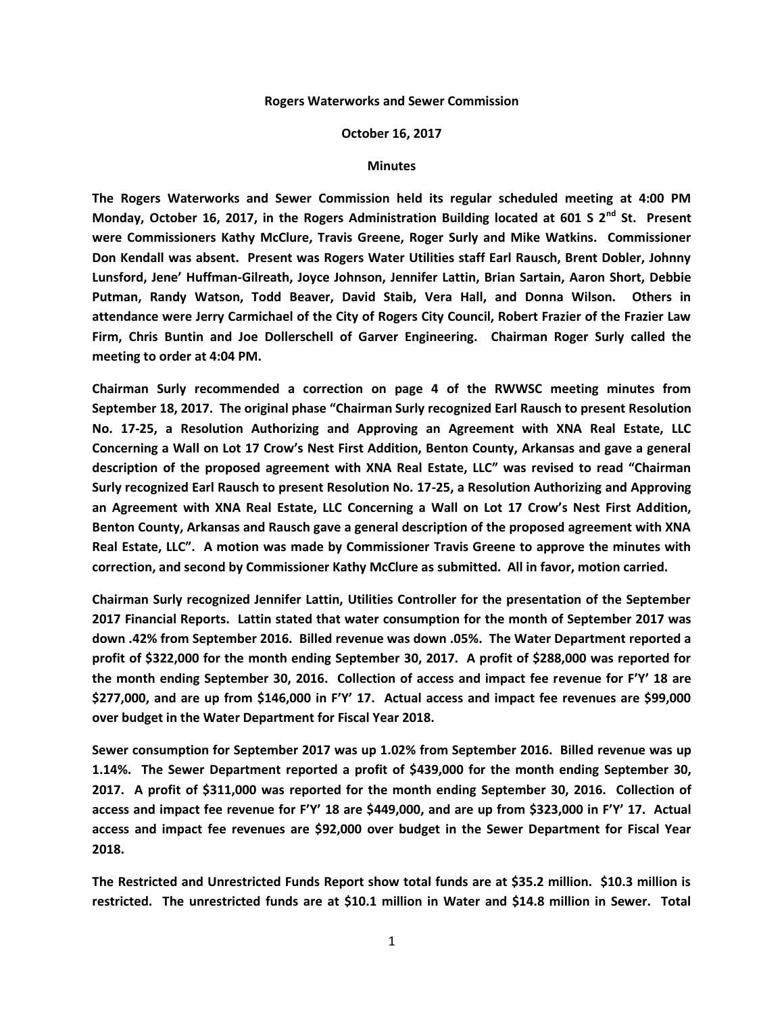## **Rogers Waterworks and Sewer Commission**

## **October 16, 2017**

## **Minutes**

**The Rogers Waterworks and Sewer Commission held its regular scheduled meeting at 4:00 PM Monday, October 16, 2017, in the Rogers Administration Building located at 601 S 2nd St. Present were Commissioners Kathy McClure, Travis Greene, Roger Surly and Mike Watkins. Commissioner Don Kendall was absent. Present was Rogers Water Utilities staff Earl Rausch, Brent Dobler, Johnny Lunsford, Jene' Huffman-Gilreath, Joyce Johnson, Jennifer Lattin, Brian Sartain, Aaron Short, Debbie Putman, Randy Watson, Todd Beaver, David Staib, Vera Hall, and Donna Wilson. Others in attendance were Jerry Carmichael of the City of Rogers City Council, Robert Frazier of the Frazier Law Firm, Chris Buntin and Joe Dollerschell of Garver Engineering. Chairman Roger Surly called the meeting to order at 4:04 PM.**

**Chairman Surly recommended a correction on page 4 of the RWWSC meeting minutes from September 18, 2017. The original phase "Chairman Surly recognized Earl Rausch to present Resolution No. 17-25, a Resolution Authorizing and Approving an Agreement with XNA Real Estate, LLC Concerning a Wall on Lot 17 Crow's Nest First Addition, Benton County, Arkansas and gave a general description of the proposed agreement with XNA Real Estate, LLC" was revised to read "Chairman Surly recognized Earl Rausch to present Resolution No. 17-25, a Resolution Authorizing and Approving an Agreement with XNA Real Estate, LLC Concerning a Wall on Lot 17 Crow's Nest First Addition, Benton County, Arkansas and Rausch gave a general description of the proposed agreement with XNA Real Estate, LLC". A motion was made by Commissioner Travis Greene to approve the minutes with correction, and second by Commissioner Kathy McClure as submitted. All in favor, motion carried.**

**Chairman Surly recognized Jennifer Lattin, Utilities Controller for the presentation of the September 2017 Financial Reports. Lattin stated that water consumption for the month of September 2017 was down .42% from September 2016. Billed revenue was down .05%. The Water Department reported a profit of \$322,000 for the month ending September 30, 2017. A profit of \$288,000 was reported for the month ending September 30, 2016. Collection of access and impact fee revenue for F'Y' 18 are \$277,000, and are up from \$146,000 in F'Y' 17. Actual access and impact fee revenues are \$99,000 over budget in the Water Department for Fiscal Year 2018.**

**Sewer consumption for September 2017 was up 1.02% from September 2016. Billed revenue was up 1.14%. The Sewer Department reported a profit of \$439,000 for the month ending September 30, 2017. A profit of \$311,000 was reported for the month ending September 30, 2016. Collection of access and impact fee revenue for F'Y' 18 are \$449,000, and are up from \$323,000 in F'Y' 17. Actual access and impact fee revenues are \$92,000 over budget in the Sewer Department for Fiscal Year 2018.**

**The Restricted and Unrestricted Funds Report show total funds are at \$35.2 million. \$10.3 million is restricted. The unrestricted funds are at \$10.1 million in Water and \$14.8 million in Sewer. Total**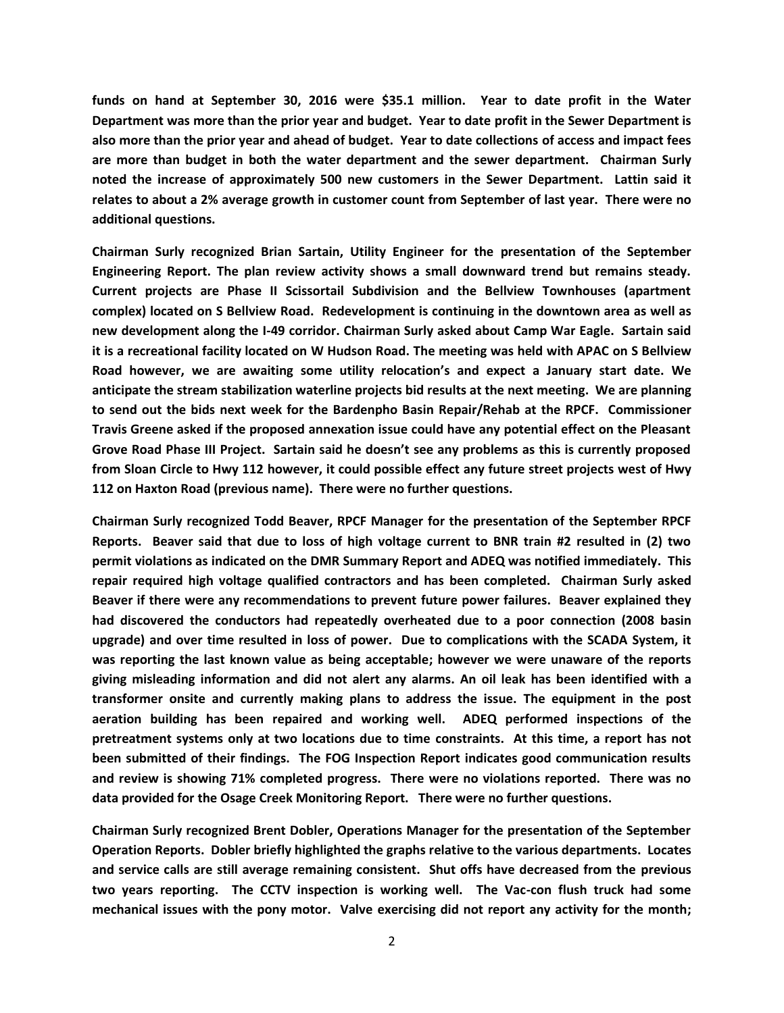**funds on hand at September 30, 2016 were \$35.1 million. Year to date profit in the Water Department was more than the prior year and budget. Year to date profit in the Sewer Department is also more than the prior year and ahead of budget. Year to date collections of access and impact fees are more than budget in both the water department and the sewer department. Chairman Surly noted the increase of approximately 500 new customers in the Sewer Department. Lattin said it relates to about a 2% average growth in customer count from September of last year. There were no additional questions.**

**Chairman Surly recognized Brian Sartain, Utility Engineer for the presentation of the September Engineering Report. The plan review activity shows a small downward trend but remains steady. Current projects are Phase II Scissortail Subdivision and the Bellview Townhouses (apartment complex) located on S Bellview Road. Redevelopment is continuing in the downtown area as well as new development along the I-49 corridor. Chairman Surly asked about Camp War Eagle. Sartain said it is a recreational facility located on W Hudson Road. The meeting was held with APAC on S Bellview Road however, we are awaiting some utility relocation's and expect a January start date. We anticipate the stream stabilization waterline projects bid results at the next meeting. We are planning to send out the bids next week for the Bardenpho Basin Repair/Rehab at the RPCF. Commissioner Travis Greene asked if the proposed annexation issue could have any potential effect on the Pleasant Grove Road Phase III Project. Sartain said he doesn't see any problems as this is currently proposed from Sloan Circle to Hwy 112 however, it could possible effect any future street projects west of Hwy 112 on Haxton Road (previous name). There were no further questions.**

**Chairman Surly recognized Todd Beaver, RPCF Manager for the presentation of the September RPCF Reports. Beaver said that due to loss of high voltage current to BNR train #2 resulted in (2) two permit violations as indicated on the DMR Summary Report and ADEQ was notified immediately. This repair required high voltage qualified contractors and has been completed. Chairman Surly asked Beaver if there were any recommendations to prevent future power failures. Beaver explained they had discovered the conductors had repeatedly overheated due to a poor connection (2008 basin upgrade) and over time resulted in loss of power. Due to complications with the SCADA System, it was reporting the last known value as being acceptable; however we were unaware of the reports giving misleading information and did not alert any alarms. An oil leak has been identified with a transformer onsite and currently making plans to address the issue. The equipment in the post aeration building has been repaired and working well. ADEQ performed inspections of the pretreatment systems only at two locations due to time constraints. At this time, a report has not been submitted of their findings. The FOG Inspection Report indicates good communication results and review is showing 71% completed progress. There were no violations reported. There was no data provided for the Osage Creek Monitoring Report. There were no further questions.**

**Chairman Surly recognized Brent Dobler, Operations Manager for the presentation of the September Operation Reports. Dobler briefly highlighted the graphs relative to the various departments. Locates and service calls are still average remaining consistent. Shut offs have decreased from the previous two years reporting. The CCTV inspection is working well. The Vac-con flush truck had some mechanical issues with the pony motor. Valve exercising did not report any activity for the month;**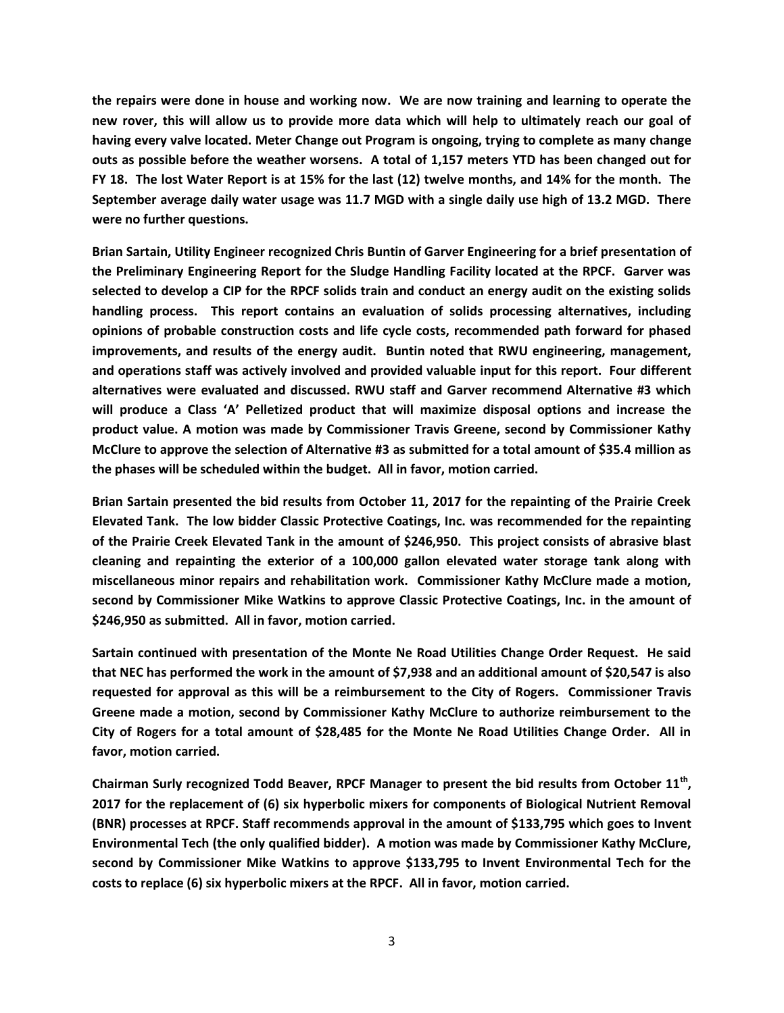**the repairs were done in house and working now. We are now training and learning to operate the new rover, this will allow us to provide more data which will help to ultimately reach our goal of having every valve located. Meter Change out Program is ongoing, trying to complete as many change outs as possible before the weather worsens. A total of 1,157 meters YTD has been changed out for FY 18. The lost Water Report is at 15% for the last (12) twelve months, and 14% for the month. The September average daily water usage was 11.7 MGD with a single daily use high of 13.2 MGD. There were no further questions.**

**Brian Sartain, Utility Engineer recognized Chris Buntin of Garver Engineering for a brief presentation of the Preliminary Engineering Report for the Sludge Handling Facility located at the RPCF. Garver was selected to develop a CIP for the RPCF solids train and conduct an energy audit on the existing solids handling process. This report contains an evaluation of solids processing alternatives, including opinions of probable construction costs and life cycle costs, recommended path forward for phased improvements, and results of the energy audit. Buntin noted that RWU engineering, management, and operations staff was actively involved and provided valuable input for this report. Four different alternatives were evaluated and discussed. RWU staff and Garver recommend Alternative #3 which will produce a Class 'A' Pelletized product that will maximize disposal options and increase the product value. A motion was made by Commissioner Travis Greene, second by Commissioner Kathy McClure to approve the selection of Alternative #3 as submitted for a total amount of \$35.4 million as the phases will be scheduled within the budget. All in favor, motion carried.**

**Brian Sartain presented the bid results from October 11, 2017 for the repainting of the Prairie Creek Elevated Tank. The low bidder Classic Protective Coatings, Inc. was recommended for the repainting of the Prairie Creek Elevated Tank in the amount of \$246,950. This project consists of abrasive blast cleaning and repainting the exterior of a 100,000 gallon elevated water storage tank along with miscellaneous minor repairs and rehabilitation work. Commissioner Kathy McClure made a motion, second by Commissioner Mike Watkins to approve Classic Protective Coatings, Inc. in the amount of \$246,950 as submitted. All in favor, motion carried.**

**Sartain continued with presentation of the Monte Ne Road Utilities Change Order Request. He said that NEC has performed the work in the amount of \$7,938 and an additional amount of \$20,547 is also requested for approval as this will be a reimbursement to the City of Rogers. Commissioner Travis Greene made a motion, second by Commissioner Kathy McClure to authorize reimbursement to the City of Rogers for a total amount of \$28,485 for the Monte Ne Road Utilities Change Order. All in favor, motion carried.**

**Chairman Surly recognized Todd Beaver, RPCF Manager to present the bid results from October 11th , 2017 for the replacement of (6) six hyperbolic mixers for components of Biological Nutrient Removal (BNR) processes at RPCF. Staff recommends approval in the amount of \$133,795 which goes to Invent Environmental Tech (the only qualified bidder). A motion was made by Commissioner Kathy McClure, second by Commissioner Mike Watkins to approve \$133,795 to Invent Environmental Tech for the costs to replace (6) six hyperbolic mixers at the RPCF. All in favor, motion carried.**